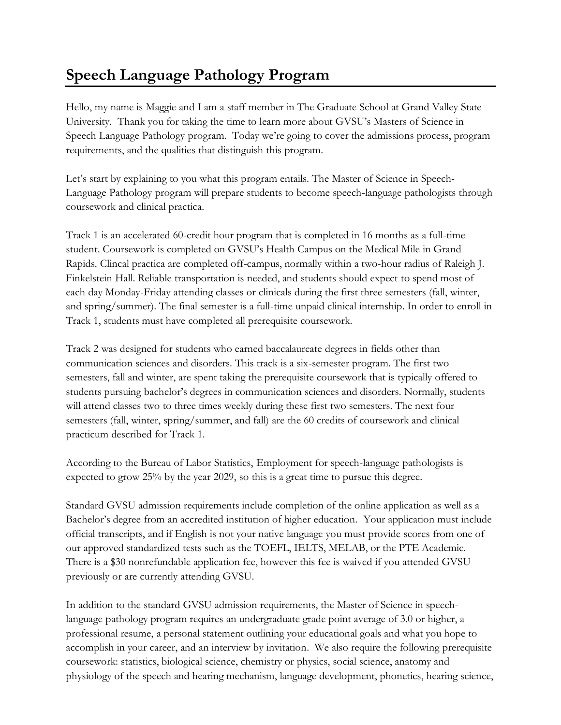## **Speech Language Pathology Program**

Hello, my name is Maggie and I am a staff member in The Graduate School at Grand Valley State University. Thank you for taking the time to learn more about GVSU's Masters of Science in Speech Language Pathology program. Today we're going to cover the admissions process, program requirements, and the qualities that distinguish this program.

Let's start by explaining to you what this program entails. The Master of Science in Speech-Language Pathology program will prepare students to become speech-language pathologists through coursework and clinical practica.

Track 1 is an accelerated 60-credit hour program that is completed in 16 months as a full-time student. Coursework is completed on GVSU's Health Campus on the Medical Mile in Grand Rapids. Clincal practica are completed off-campus, normally within a two-hour radius of Raleigh J. Finkelstein Hall. Reliable transportation is needed, and students should expect to spend most of each day Monday-Friday attending classes or clinicals during the first three semesters (fall, winter, and spring/summer). The final semester is a full-time unpaid clinical internship. In order to enroll in Track 1, students must have completed all prerequisite coursework.

Track 2 was designed for students who earned baccalaureate degrees in fields other than communication sciences and disorders. This track is a six-semester program. The first two semesters, fall and winter, are spent taking the prerequisite coursework that is typically offered to students pursuing bachelor's degrees in communication sciences and disorders. Normally, students will attend classes two to three times weekly during these first two semesters. The next four semesters (fall, winter, spring/summer, and fall) are the 60 credits of coursework and clinical practicum described for Track 1.

According to the Bureau of Labor Statistics, Employment for speech-language pathologists is expected to grow 25% by the year 2029, so this is a great time to pursue this degree.

Standard GVSU admission requirements include completion of the online application as well as a Bachelor's degree from an accredited institution of higher education. Your application must include official transcripts, and if English is not your native language you must provide scores from one of our approved standardized tests such as the TOEFL, IELTS, MELAB, or the PTE Academic. There is a \$30 nonrefundable application fee, however this fee is waived if you attended GVSU previously or are currently attending GVSU.

In addition to the standard GVSU admission requirements, the Master of Science in speechlanguage pathology program requires an undergraduate grade point average of 3.0 or higher, a professional resume, a personal statement outlining your educational goals and what you hope to accomplish in your career, and an interview by invitation. We also require the following prerequisite coursework: statistics, biological science, chemistry or physics, social science, anatomy and physiology of the speech and hearing mechanism, language development, phonetics, hearing science,